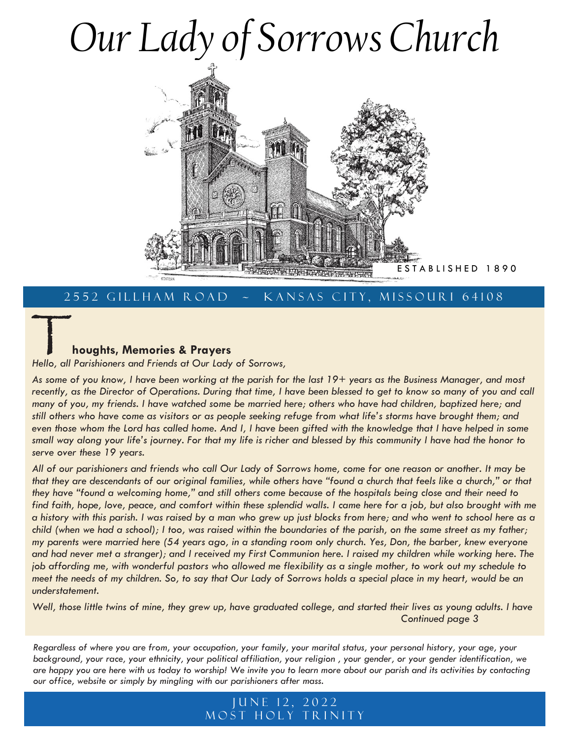# *Our Lady of Sorrows Church*



### 2552 GILLHAM ROAD ~ KANSAS CITY, MISSOURI 64108

### T **houghts, Memories & Prayers**

*Hello, all Parishioners and Friends at Our Lady of Sorrows,*

*As some of you know, I have been working at the parish for the last 19+ years as the Business Manager, and most recently, as the Director of Operations. During that time, I have been blessed to get to know so many of you and call many of you, my friends. I have watched some be married here; others who have had children, baptized here; and still others who have come as visitors or as people seeking refuge from what life's storms have brought them; and*  even those whom the Lord has called home. And I, I have been gifted with the knowledge that I have helped in some *small way along your life's journey. For that my life is richer and blessed by this community I have had the honor to serve over these 19 years.*

*All of our parishioners and friends who call Our Lady of Sorrows home, come for one reason or another. It may be that they are descendants of our original families, while others have "found a church that feels like a church," or that they have "found a welcoming home," and still others come because of the hospitals being close and their need to find faith, hope, love, peace, and comfort within these splendid walls. I came here for a job, but also brought with me a history with this parish. I was raised by a man who grew up just blocks from here; and who went to school here as a child (when we had a school); I too, was raised within the boundaries of the parish, on the same street as my father; my parents were married here (54 years ago, in a standing room only church. Yes, Don, the barber, knew everyone and had never met a stranger); and I received my First Communion here. I raised my children while working here. The job affording me, with wonderful pastors who allowed me flexibility as a single mother, to work out my schedule to meet the needs of my children. So, to say that Our Lady of Sorrows holds a special place in my heart, would be an understatement.*

*Well, those little twins of mine, they grew up, have graduated college, and started their lives as young adults. I have Continued page 3*

*Regardless of where you are from, your occupation, your family, your marital status, your personal history, your age, your background, your race, your ethnicity, your political affiliation, your religion , your gender, or your gender identification, we are happy you are here with us today to worship! We invite you to learn more about our parish and its activities by contacting our office, website or simply by mingling with our parishioners after mass.*

### JUNE 12, 2022 M O ST HOLY TRINITY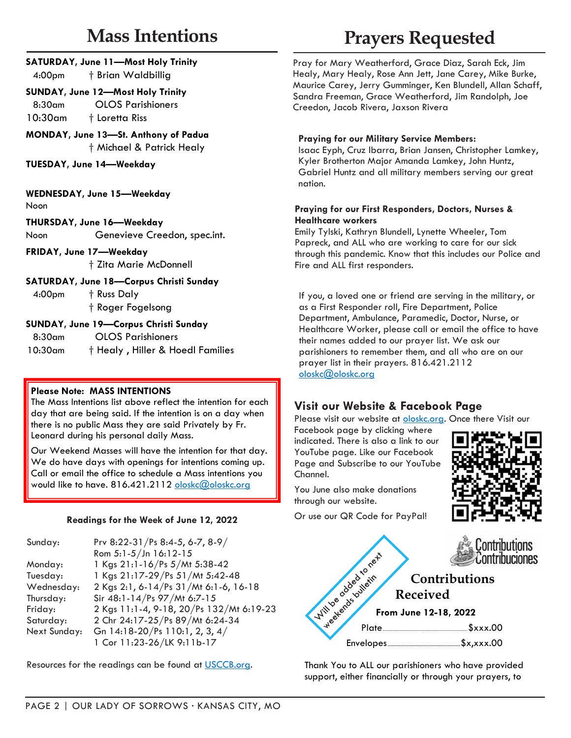# **Mass Intentions**

| 4:00pm                                                            | <b>SATURDAY, June 11-Most Holy Trinity</b><br>† Brian Waldbillig |  |
|-------------------------------------------------------------------|------------------------------------------------------------------|--|
| <b>SUNDAY, June 12—Most Holy Trinity</b>                          |                                                                  |  |
| 8:30am                                                            | <b>OLOS Parishioners</b>                                         |  |
| 10:30am                                                           | † Loretta Riss                                                   |  |
| MONDAY, June 13-St. Anthony of Padua<br>† Michael & Patrick Healy |                                                                  |  |
| TUESDAY, June 14-Weekday                                          |                                                                  |  |
| WEDNESDAY, June 15-Weekday<br>Noon                                |                                                                  |  |

**THURSDAY, June 16—Weekday** Noon Genevieve Creedon, spec.int.

**FRIDAY, June 17—Weekday** † Zita Marie McDonnell

**SATURDAY, June 18—Corpus Christi Sunday**

4:00pm † Russ Daly † Roger Fogelsong

### **SUNDAY, June 19—Corpus Christi Sunday**

8:30am OLOS Parishioners

10:30am † Healy , Hiller & Hoedl Families

### **Please Note: MASS INTENTIONS**

The Mass Intentions list above reflect the intention for each day that are being said. If the intention is on a day when there is no public Mass they are said Privately by Fr. Leonard during his personal daily Mass.

Our Weekend Masses will have the intention for that day. We do have days with openings for intentions coming up. Call or email the office to schedule a Mass intentions you would like to have. 816.421.2112 [oloskc@](mailto:oloskc@oloskc.org?subject=Mass%20Intentions)[oloskc.org](mailto:stephanief@oloskc.org?subject=Mass%20Intention%20Request)

### **Readings for the Week of June 12, 2022**

| Sunday:      | Prv 8:22-31/Ps 8:4-5, 6-7, 8-9/          |
|--------------|------------------------------------------|
|              | Rom 5:1-5/Jn 16:12-15                    |
| Monday:      | 1 Kgs 21:1-16/Ps 5/Mt 5:38-42            |
| Tuesday:     | 1 Kgs 21:17-29/Ps 51/Mt 5:42-48          |
| Wednesday:   | 2 Kgs 2:1, 6-14/Ps 31/Mt 6:1-6, 16-18    |
| Thursday:    | Sir 48:1-14/Ps 97/Mt 6:7-15              |
| Friday:      | 2 Kgs 11:1-4, 9-18, 20/Ps 132/Mt 6:19-23 |
| Saturday:    | 2 Chr 24:17-25/Ps 89/Mt 6:24-34          |
| Next Sunday: | Gn 14:18-20/Ps 110:1, 2, 3, 4/           |
|              | 1 Cor 11:23-26/LK 9:11b-17               |

Resources for the readings can be found at [USCCB.org.](http://usccb.org/)

# **Prayers Requested**

Pray for Mary Weatherford, Grace Diaz, Sarah Eck, Jim Healy, Mary Healy, Rose Ann Jett, Jane Carey, Mike Burke, Maurice Carey, Jerry Gumminger, Ken Blundell, Allan Schaff, Sandra Freeman, Grace Weatherford, Jim Randolph, Joe Creedon, Jacob Rivera, Jaxson Rivera

### **Praying for our Military Service Members:**

Isaac Eyph, Cruz Ibarra, Brian Jansen, Christopher Lamkey, Kyler Brotherton Major Amanda Lamkey, John Huntz, Gabriel Huntz and all military members serving our great nation.

### **Praying for our First Responders, Doctors, Nurses & Healthcare workers**

Emily Tylski, Kathryn Blundell, Lynette Wheeler, Tom Papreck, and ALL who are working to care for our sick through this pandemic. Know that this includes our Police and Fire and ALL first responders.

If you, a loved one or friend are serving in the military, or as a First Responder roll, Fire Department, Police Department, Ambulance, Paramedic, Doctor, Nurse, or Healthcare Worker, please call or email the office to have their names added to our prayer list. We ask our parishioners to remember them, and all who are on our prayer list in their prayers. 816.421.2112 [oloskc@oloskc.org](mailto:oloskc@oloskc.org?subject=Prayer%20Request)

### **Visit our Website & Facebook Page**

Please visit our website at [oloskc.org.](http://www.oloskc.org) Once there Visit our

Facebook page by clicking where indicated. There is also a link to our YouTube page. Like our Facebook Page and Subscribe to our YouTube Channel.



You June also make donations through our website.

Or use our QR Code for PayPal!



Thank You to ALL our parishioners who have provided support, either financially or through your prayers, to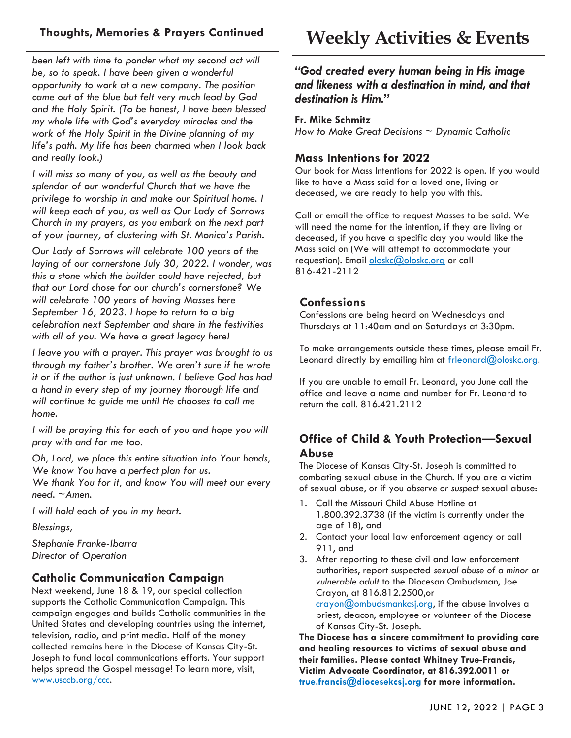*been left with time to ponder what my second act will be, so to speak. I have been given a wonderful opportunity to work at a new company. The position came out of the blue but felt very much lead by God and the Holy Spirit. (To be honest, I have been blessed my whole life with God's everyday miracles and the work of the Holy Spirit in the Divine planning of my life's path. My life has been charmed when I look back and really look.)*

*I will miss so many of you, as well as the beauty and splendor of our wonderful Church that we have the privilege to worship in and make our Spiritual home. I will keep each of you, as well as Our Lady of Sorrows Church in my prayers, as you embark on the next part of your journey, of clustering with St. Monica's Parish.*

*Our Lady of Sorrows will celebrate 100 years of the laying of our cornerstone July 30, 2022. I wonder, was this a stone which the builder could have rejected, but that our Lord chose for our church's cornerstone? We will celebrate 100 years of having Masses here September 16, 2023. I hope to return to a big celebration next September and share in the festivities with all of you. We have a great legacy here!*

*I leave you with a prayer. This prayer was brought to us through my father's brother. We aren't sure if he wrote it or if the author is just unknown. I believe God has had a hand in every step of my journey thorough life and will continue to guide me until He chooses to call me home.*

*I will be praying this for each of you and hope you will pray with and for me too.*

*Oh, Lord, we place this entire situation into Your hands, We know You have a perfect plan for us.*

*We thank You for it, and know You will meet our every need. ~Amen.*

*I will hold each of you in my heart.*

*Blessings,*

*Stephanie Franke-Ibarra Director of Operation*

### **Catholic Communication Campaign**

Next weekend, June 18 & 19, our special collection supports the Catholic Communication Campaign. This campaign engages and builds Catholic communities in the United States and developing countries using the internet, television, radio, and print media. Half of the money collected remains here in the Diocese of Kansas City-St. Joseph to fund local communications efforts. Your support helps spread the Gospel message! To learn more, visit, [www.usccb.org/ccc.](http://www.usccb.org/ccc)

*"God created every human being in His image and likeness with a destination in mind, and that destination is Him."*

### **Fr. Mike Schmitz**

*How to Make Great Decisions ~ Dynamic Catholic*

### **Mass Intentions for 2022**

Our book for Mass Intentions for 2022 is open. If you would like to have a Mass said for a loved one, living or deceased, we are ready to help you with this.

Call or email the office to request Masses to be said. We will need the name for the intention, if they are living or deceased, if you have a specific day you would like the Mass said on (We will attempt to accommodate your requestion). Email [oloskc](mailto:oloskc@oloskc.org?subject=Mass%20Intentions)[@oloskc.org](mailto:stephanief@oloskc.org?subject=Mass%20Intentions) or call 816-421-2112

### **Confessions**

Confessions are being heard on Wednesdays and Thursdays at 11:40am and on Saturdays at 3:30pm.

To make arrangements outside these times, please email Fr. Leonard directly by emailing him at [frleonard@oloskc.org.](mailto:frleonard@oloskc.org?subject=Confession)

If you are unable to email Fr. Leonard, you June call the office and leave a name and number for Fr. Leonard to return the call. 816.421.2112

### **Office of Child & Youth Protection—Sexual Abuse**

The Diocese of Kansas City-St. Joseph is committed to combating sexual abuse in the Church. If you are a victim of sexual abuse, or if you *observe or suspect* sexual abuse:

- 1. Call the Missouri Child Abuse Hotline at 1.800.392.3738 (if the victim is currently under the age of 18), and
- 2. Contact your local law enforcement agency or call 911, and
- 3. After reporting to these civil and law enforcement authorities, report suspected *sexual abuse of a minor or vulnerable adult* to the Diocesan Ombudsman, Joe Crayon, at 816.812.2500,or

[crayon@ombudsmankcsj.org,](mailto:crayon@ombudsmankcsj.org?subject=Report%20Abuse) if the abuse involves a priest, deacon, employee or volunteer of the Diocese of Kansas City-St. Joseph.

**The Diocese has a sincere commitment to providing care and healing resources to victims of sexual abuse and their families. Please contact Whitney True-Francis, Victim Advocate Coordinator, at 816.392.0011 or [true.](mailto:true.francis@diocesekcsj.org?subject=Victim%20Assistance%20Coordinator)francis[@diocesekcsj.org](mailto:victimadvocate@diocesekcsj.org?subject=Victim%20Resources) for more information.**